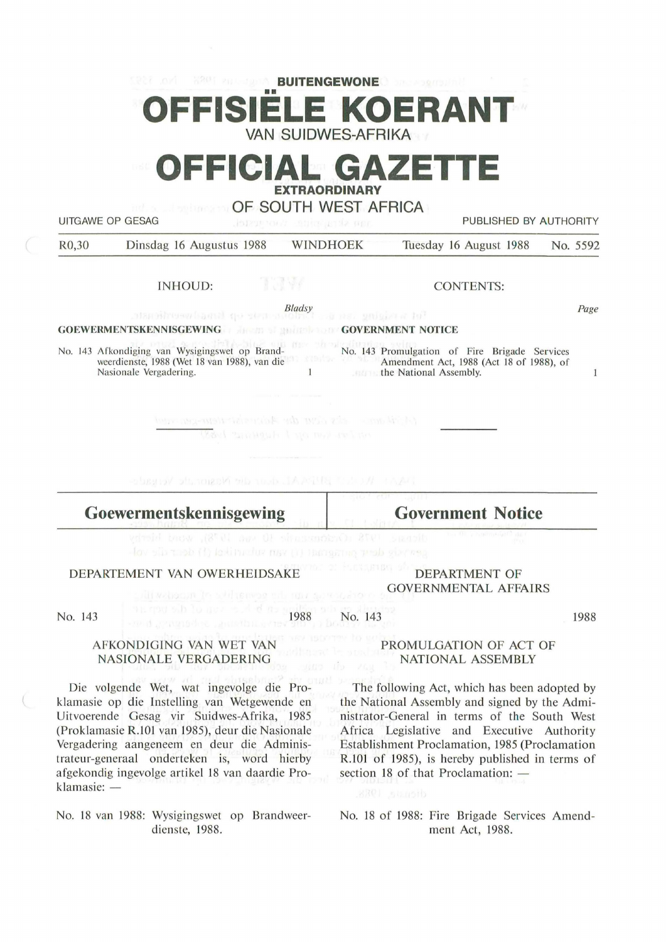## **BUITENGEWONE E KOERAN VAN SUIDWES-AFRIKA**

# **OFFICIAL GAZETTE EXTRAORDINARY**

**OF SOUTH WEST AFRICA** 

UITGAWE OP GESAG **PUBLISHED BY AUTHORITY** 

| R <sub>0</sub> ,30 | Dinsdag 16 Augustus 1988 | WINDHOEK | Tuesday 16 August 1988 No. 5592 |  |
|--------------------|--------------------------|----------|---------------------------------|--|
|                    |                          |          |                                 |  |

INHOUD:

CONTENTS:

*Bladsy* 

#### **GOEWERMENTSKENNISGEWING GOVERNMENT NOTICE**

No. 143 Afkondiging van Wysigingswet op Brand-No. 143 Promulgation of Fire Brigade Services weerdienste, 1988 (Wet 18 van 1988), van die Amendment Act, 1988 (Act 18 of 1988), of Nasionale Yergadering.  $\mathbf{1}$ the National Assembly.

West an away is the mother the

**Goewermentskennisgewing** 

**Government Notice** 

### DEPARTEMENT VAN OWERHEIDSAKE

DEPARTMENT OF GOVERNMENTAL AFFAIRS

No. 143

1988

No. 143

1988

#### PROMULGATION OF ACT OF NATIONAL ASSEMBLY

The following Act, which has been adopted by the National Assembly and signed by the Administrator-General in terms of the South West Africa Legislative and Executive Authority Establishment Proclamation, 1985 (Proclamation R.101 of 1985), is hereby published in terms of section 18 of that Proclamation:  $-$ 

No. 18 of 1988: Fire Brigade Services Amendment Act, 1988.

#### AFKONDIGING VAN WET VAN NASIONALE VERGADERING

Die volgende Wet, wat ingevolge die Proklamasie op die Instelling van Wetgewende en Uitvoerende Gesag vir Suidwes-Afrika, 1985 (Proklamasie R.101 van 1985), deur die Nasionale Vergadering aangeneem en deur die Administrateur-generaal onderteken is, word hierby afgekondig ingevolge artikel 18 van daardie Pro $klamasie: -$ 

No. 18 van 1988: Wysigingswet op Brandweerdienste, 1988.

 $\mathbf{1}$ 

*Page*